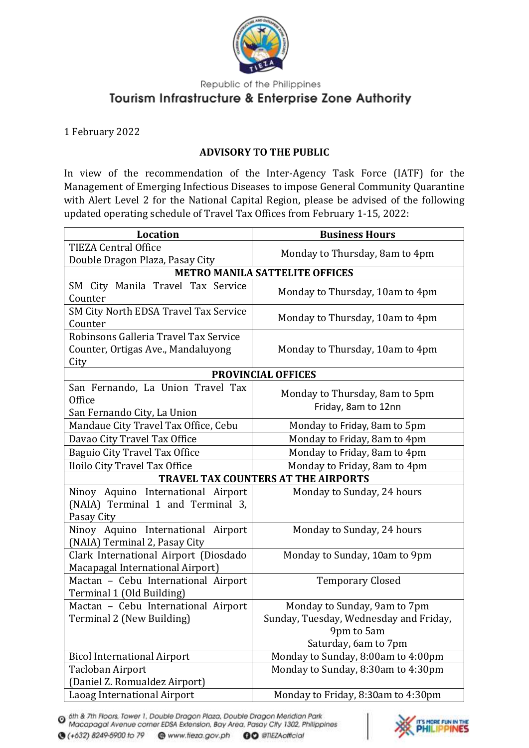

Republic of the Philippines

## Tourism Infrastructure & Enterprise Zone Authority

## 1 February 2022

## **ADVISORY TO THE PUBLIC**

In view of the recommendation of the Inter-Agency Task Force (IATF) for the Management of Emerging Infectious Diseases to impose General Community Quarantine with Alert Level 2 for the National Capital Region, please be advised of the following updated operating schedule of Travel Tax Offices from February 1-15, 2022:

| Location                                     | <b>Business Hours</b>                  |
|----------------------------------------------|----------------------------------------|
| <b>TIEZA Central Office</b>                  | Monday to Thursday, 8am to 4pm         |
| Double Dragon Plaza, Pasay City              |                                        |
| <b>METRO MANILA SATTELITE OFFICES</b>        |                                        |
| SM City Manila Travel Tax Service<br>Counter | Monday to Thursday, 10am to 4pm        |
| SM City North EDSA Travel Tax Service        | Monday to Thursday, 10am to 4pm        |
| Counter                                      |                                        |
| Robinsons Galleria Travel Tax Service        |                                        |
| Counter, Ortigas Ave., Mandaluyong           | Monday to Thursday, 10am to 4pm        |
| City                                         |                                        |
| <b>PROVINCIAL OFFICES</b>                    |                                        |
| San Fernando, La Union Travel Tax            | Monday to Thursday, 8am to 5pm         |
| Office                                       | Friday, 8am to 12nn                    |
| San Fernando City, La Union                  |                                        |
| Mandaue City Travel Tax Office, Cebu         | Monday to Friday, 8am to 5pm           |
| Davao City Travel Tax Office                 | Monday to Friday, 8am to 4pm           |
| Baguio City Travel Tax Office                | Monday to Friday, 8am to 4pm           |
| Iloilo City Travel Tax Office                | Monday to Friday, 8am to 4pm           |
| TRAVEL TAX COUNTERS AT THE AIRPORTS          |                                        |
| Ninoy Aquino International Airport           | Monday to Sunday, 24 hours             |
| (NAIA) Terminal 1 and Terminal 3,            |                                        |
| Pasay City                                   |                                        |
| Ninoy Aquino International Airport           | Monday to Sunday, 24 hours             |
| (NAIA) Terminal 2, Pasay City                |                                        |
| Clark International Airport (Diosdado        | Monday to Sunday, 10am to 9pm          |
| Macapagal International Airport)             |                                        |
| Mactan - Cebu International Airport          | <b>Temporary Closed</b>                |
| Terminal 1 (Old Building)                    |                                        |
| Mactan - Cebu International Airport          | Monday to Sunday, 9am to 7pm           |
| Terminal 2 (New Building)                    | Sunday, Tuesday, Wednesday and Friday, |
|                                              | 9pm to 5am                             |
|                                              | Saturday, 6am to 7pm                   |
| <b>Bicol International Airport</b>           | Monday to Sunday, 8:00am to 4:00pm     |
| Tacloban Airport                             | Monday to Sunday, 8:30am to 4:30pm     |
| (Daniel Z. Romualdez Airport)                |                                        |
| Laoag International Airport                  | Monday to Friday, 8:30am to 4:30pm     |

<sup>6th &</sup> 7th Floors, Tower 1, Double Dragon Plaza, Double Dragon Meridian Park<br>Macapagal Avenue corner EDSA Extension, Bay Area, Pasay City 1302, Philippines



**●** (+632) 8249-5900 to 79 ● www.fieza.gov.ph **OO** @TIEZAofficial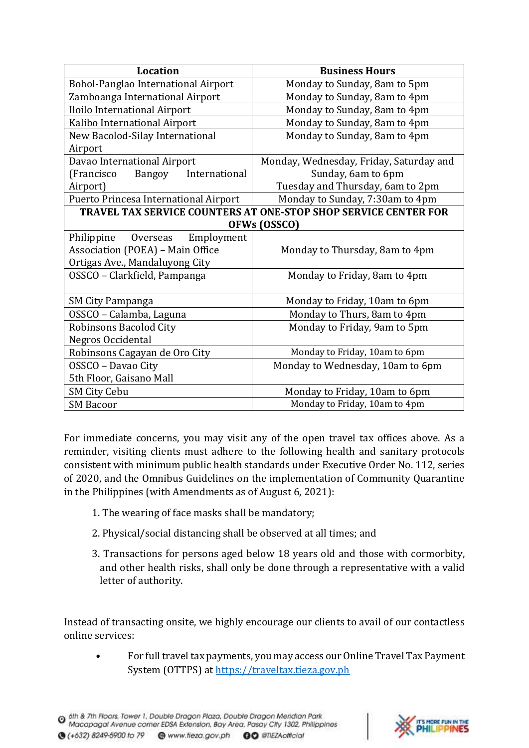| <b>Location</b>                        | <b>Business Hours</b>                                           |
|----------------------------------------|-----------------------------------------------------------------|
| Bohol-Panglao International Airport    | Monday to Sunday, 8am to 5pm                                    |
| Zamboanga International Airport        | Monday to Sunday, 8am to 4pm                                    |
| Iloilo International Airport           | Monday to Sunday, 8am to 4pm                                    |
| Kalibo International Airport           | Monday to Sunday, 8am to 4pm                                    |
| New Bacolod-Silay International        | Monday to Sunday, 8am to 4pm                                    |
| Airport                                |                                                                 |
| Davao International Airport            | Monday, Wednesday, Friday, Saturday and                         |
| Bangoy<br>(Francisco)<br>International | Sunday, 6am to 6pm                                              |
| Airport)                               | Tuesday and Thursday, 6am to 2pm                                |
| Puerto Princesa International Airport  | Monday to Sunday, 7:30am to 4pm                                 |
|                                        | TRAVEL TAX SERVICE COUNTERS AT ONE-STOP SHOP SERVICE CENTER FOR |
| OFWs (OSSCO)                           |                                                                 |
| Philippine<br>Overseas<br>Employment   |                                                                 |
| Association (POEA) - Main Office       | Monday to Thursday, 8am to 4pm                                  |
| Ortigas Ave., Mandaluyong City         |                                                                 |
| OSSCO - Clarkfield, Pampanga           | Monday to Friday, 8am to 4pm                                    |
|                                        |                                                                 |
| SM City Pampanga                       | Monday to Friday, 10am to 6pm                                   |
| OSSCO - Calamba, Laguna                | Monday to Thurs, 8am to 4pm                                     |
| Robinsons Bacolod City                 | Monday to Friday, 9am to 5pm                                    |
| Negros Occidental                      |                                                                 |
| Robinsons Cagayan de Oro City          | Monday to Friday, 10am to 6pm                                   |
| OSSCO - Davao City                     | Monday to Wednesday, 10am to 6pm                                |
| 5th Floor, Gaisano Mall                |                                                                 |
| <b>SM City Cebu</b>                    | Monday to Friday, 10am to 6pm                                   |
| <b>SM Bacoor</b>                       | Monday to Friday, 10am to 4pm                                   |

For immediate concerns, you may visit any of the open travel tax offices above. As a reminder, visiting clients must adhere to the following health and sanitary protocols consistent with minimum public health standards under Executive Order No. 112, series of 2020, and the Omnibus Guidelines on the implementation of Community Quarantine in the Philippines (with Amendments as of August 6, 2021):

- 1. The wearing of face masks shall be mandatory;
- 2. Physical/social distancing shall be observed at all times; and
- 3. Transactions for persons aged below 18 years old and those with cormorbity, and other health risks, shall only be done through a representative with a valid letter of authority.

Instead of transacting onsite, we highly encourage our clients to avail of our contactless online services:

• For full travel tax payments, you may access our Online Travel Tax Payment System (OTTPS) at [https://traveltax.tieza.gov.ph](https://traveltax.tieza.gov.ph/)